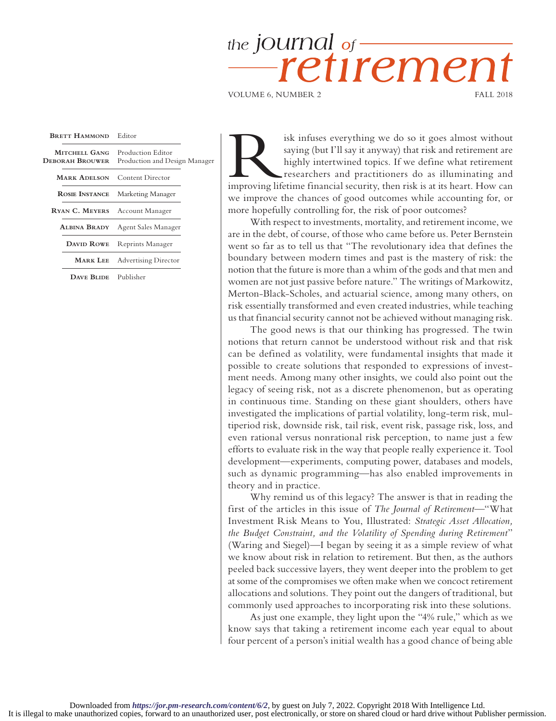## the jOUINal of retiremer

VOLUME 6, NUMBER 2 FALL 2018

| <b>BRETT HAMMOND</b>             | Editor                                             |  |
|----------------------------------|----------------------------------------------------|--|
| MITCHELL GANG<br>Deborah Brouwer | Production Editor<br>Production and Design Manager |  |
| <b>MARK ADELSON</b>              | Content Director                                   |  |
| ROSIE INSTANCE                   | Marketing Manager                                  |  |
| RYAN C. MEYERS Account Manager   |                                                    |  |
| Albina Brady                     | Agent Sales Manager                                |  |
| DAVID ROWE                       | Reprints Manager                                   |  |
|                                  | <b>MARK LEE</b> Advertising Director               |  |
| $\overline{\phantom{a}}$         | <b>The 1-1-1-1-1</b>                               |  |

**Dave Blide** Publisher

isk infuses everything we do so it goes almost without saying (but I'll say it anyway) that risk and retirement are highly intertwined topics. If we define what retirement researchers and practitioners do as illuminating a saying (but I'll say it anyway) that risk and retirement are highly intertwined topics. If we define what retirement researchers and practitioners do as illuminating and we improve the chances of good outcomes while accounting for, or more hopefully controlling for, the risk of poor outcomes?

With respect to investments, mortality, and retirement income, we are in the debt, of course, of those who came before us. Peter Bernstein went so far as to tell us that "The revolutionary idea that defines the boundary between modern times and past is the mastery of risk: the notion that the future is more than a whim of the gods and that men and women are not just passive before nature." The writings of Markowitz, Merton-Black-Scholes, and actuarial science, among many others, on risk essentially transformed and even created industries, while teaching us that financial security cannot not be achieved without managing risk.

The good news is that our thinking has progressed. The twin notions that return cannot be understood without risk and that risk can be defined as volatility, were fundamental insights that made it possible to create solutions that responded to expressions of investment needs. Among many other insights, we could also point out the legacy of seeing risk, not as a discrete phenomenon, but as operating in continuous time. Standing on these giant shoulders, others have investigated the implications of partial volatility, long-term risk, multiperiod risk, downside risk, tail risk, event risk, passage risk, loss, and even rational versus nonrational risk perception, to name just a few efforts to evaluate risk in the way that people really experience it. Tool development—experiments, computing power, databases and models, such as dynamic programming—has also enabled improvements in theory and in practice.

Why remind us of this legacy? The answer is that in reading the first of the articles in this issue of *The Journal of Retirement*—"What Investment Risk Means to You, Illustrated: *Strategic Asset Allocation, the Budget Constraint, and the Volatility of Spending during Retirement*" (Waring and Siegel)—I began by seeing it as a simple review of what we know about risk in relation to retirement. But then, as the authors peeled back successive layers, they went deeper into the problem to get at some of the compromises we often make when we concoct retirement allocations and solutions. They point out the dangers of traditional, but commonly used approaches to incorporating risk into these solutions.

As just one example, they light upon the "4% rule," which as we know says that taking a retirement income each year equal to about four percent of a person's initial wealth has a good chance of being able